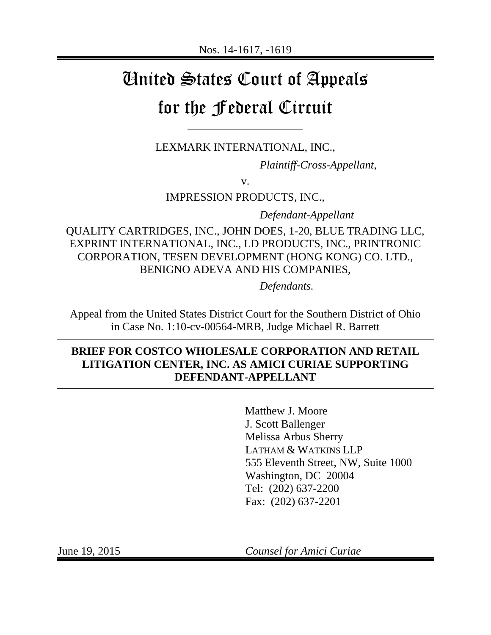# United States Court of Appeals for the Federal Circuit

LEXMARK INTERNATIONAL, INC.,

*Plaintiff-Cross-Appellant*,

v.

IMPRESSION PRODUCTS, INC.,

*Defendant-Appellant* 

QUALITY CARTRIDGES, INC., JOHN DOES, 1-20, BLUE TRADING LLC, EXPRINT INTERNATIONAL, INC., LD PRODUCTS, INC., PRINTRONIC CORPORATION, TESEN DEVELOPMENT (HONG KONG) CO. LTD., BENIGNO ADEVA AND HIS COMPANIES,

*Defendants.* 

Appeal from the United States District Court for the Southern District of Ohio in Case No. 1:10-cv-00564-MRB, Judge Michael R. Barrett

# **BRIEF FOR COSTCO WHOLESALE CORPORATION AND RETAIL LITIGATION CENTER, INC. AS AMICI CURIAE SUPPORTING DEFENDANT-APPELLANT**

Matthew J. Moore J. Scott Ballenger Melissa Arbus Sherry LATHAM & WATKINS LLP 555 Eleventh Street, NW, Suite 1000 Washington, DC 20004 Tel: (202) 637-2200 Fax: (202) 637-2201

June 19, 2015 *Counsel for Amici Curiae*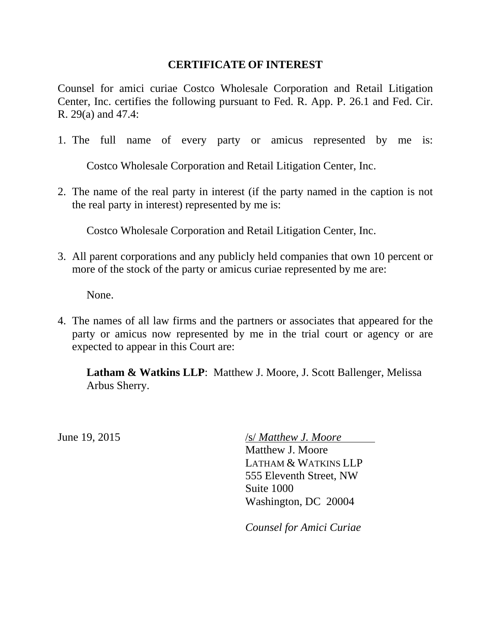### **CERTIFICATE OF INTEREST**

Counsel for amici curiae Costco Wholesale Corporation and Retail Litigation Center, Inc. certifies the following pursuant to Fed. R. App. P. 26.1 and Fed. Cir. R. 29(a) and 47.4:

1. The full name of every party or amicus represented by me is:

Costco Wholesale Corporation and Retail Litigation Center, Inc.

2. The name of the real party in interest (if the party named in the caption is not the real party in interest) represented by me is:

Costco Wholesale Corporation and Retail Litigation Center, Inc.

3. All parent corporations and any publicly held companies that own 10 percent or more of the stock of the party or amicus curiae represented by me are:

None.

4. The names of all law firms and the partners or associates that appeared for the party or amicus now represented by me in the trial court or agency or are expected to appear in this Court are:

**Latham & Watkins LLP**: Matthew J. Moore, J. Scott Ballenger, Melissa Arbus Sherry.

June 19, 2015 /s/ *Matthew J. Moore* 

Matthew J. Moore LATHAM & WATKINS LLP 555 Eleventh Street, NW Suite 1000 Washington, DC 20004

*Counsel for Amici Curiae*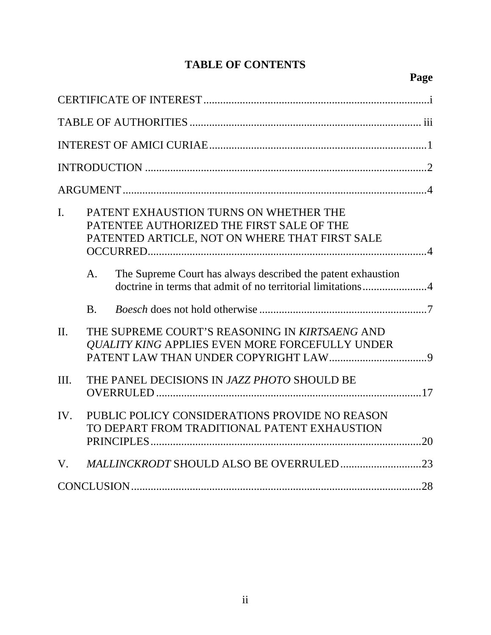# **TABLE OF CONTENTS**

# **Page**

| I.      | PATENT EXHAUSTION TURNS ON WHETHER THE<br>PATENTEE AUTHORIZED THE FIRST SALE OF THE<br>PATENTED ARTICLE, NOT ON WHERE THAT FIRST SALE<br>The Supreme Court has always described the patent exhaustion<br>A. |
|---------|-------------------------------------------------------------------------------------------------------------------------------------------------------------------------------------------------------------|
|         | <b>B.</b>                                                                                                                                                                                                   |
| $\Pi$ . | THE SUPREME COURT'S REASONING IN KIRTSAENG AND<br><b>QUALITY KING APPLIES EVEN MORE FORCEFULLY UNDER</b>                                                                                                    |
| Ш.      | THE PANEL DECISIONS IN JAZZ PHOTO SHOULD BE                                                                                                                                                                 |
| IV.     | PUBLIC POLICY CONSIDERATIONS PROVIDE NO REASON<br>TO DEPART FROM TRADITIONAL PATENT EXHAUSTION                                                                                                              |
| V.      |                                                                                                                                                                                                             |
|         |                                                                                                                                                                                                             |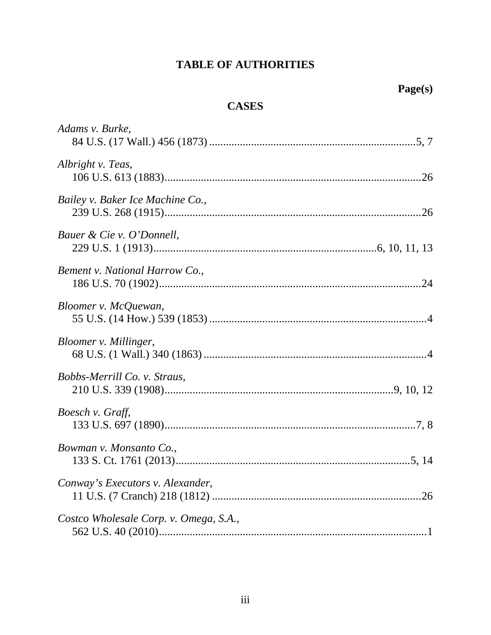# **TABLE OF AUTHORITIES**

# **CASES**

| Adams v. Burke,                        |  |
|----------------------------------------|--|
| Albright v. Teas,                      |  |
| Bailey v. Baker Ice Machine Co.,       |  |
| Bauer & Cie v. O'Donnell,              |  |
| Bement v. National Harrow Co.,         |  |
| Bloomer v. McQuewan,                   |  |
| Bloomer v. Millinger,                  |  |
| Bobbs-Merrill Co. v. Straus,           |  |
| Boesch v. Graff,                       |  |
| Bowman v. Monsanto Co.,                |  |
| Conway's Executors v. Alexander,       |  |
| Costco Wholesale Corp. v. Omega, S.A., |  |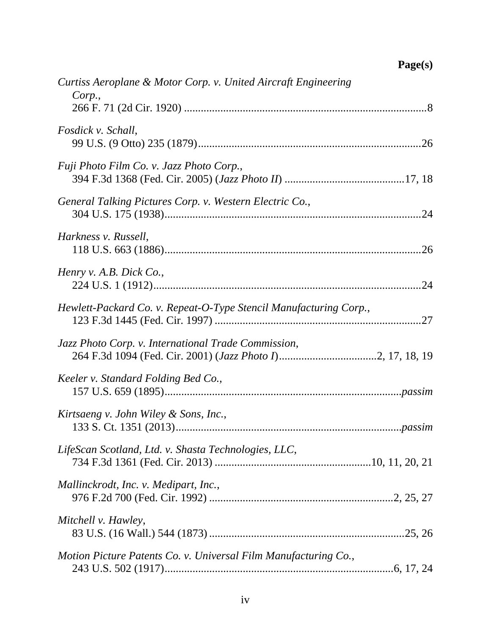| Curtiss Aeroplane & Motor Corp. v. United Aircraft Engineering<br>Corp., |
|--------------------------------------------------------------------------|
| Fosdick v. Schall,                                                       |
| Fuji Photo Film Co. v. Jazz Photo Corp.,                                 |
| General Talking Pictures Corp. v. Western Electric Co.,                  |
| Harkness v. Russell,<br>.26                                              |
| Henry v. A.B. Dick Co.,                                                  |
| Hewlett-Packard Co. v. Repeat-O-Type Stencil Manufacturing Corp.,        |
| Jazz Photo Corp. v. International Trade Commission,                      |
| Keeler v. Standard Folding Bed Co.,                                      |
| Kirtsaeng v. John Wiley & Sons, Inc.,                                    |
| LifeScan Scotland, Ltd. v. Shasta Technologies, LLC,                     |
| Mallinckrodt, Inc. v. Medipart, Inc.,                                    |
| Mitchell v. Hawley,                                                      |
| Motion Picture Patents Co. v. Universal Film Manufacturing Co.,          |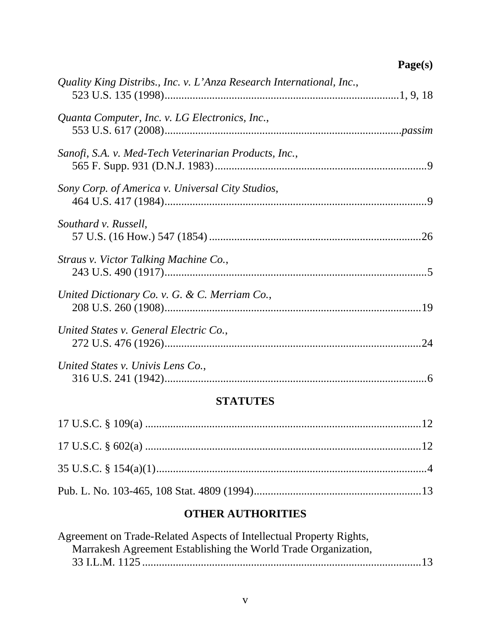# **Page(s)**

| Quality King Distribs., Inc. v. L'Anza Research International, Inc., |  |
|----------------------------------------------------------------------|--|
| Quanta Computer, Inc. v. LG Electronics, Inc.,                       |  |
| Sanofi, S.A. v. Med-Tech Veterinarian Products, Inc.,                |  |
| Sony Corp. of America v. Universal City Studios,                     |  |
| Southard v. Russell,                                                 |  |
| Straus v. Victor Talking Machine Co.,                                |  |
| United Dictionary Co. v. G. & C. Merriam Co.,                        |  |
| United States v. General Electric Co.,                               |  |
| United States v. Univis Lens Co.,                                    |  |

# **STATUTES**

# **OTHER AUTHORITIES**

| Agreement on Trade-Related Aspects of Intellectual Property Rights, |  |
|---------------------------------------------------------------------|--|
| Marrakesh Agreement Establishing the World Trade Organization,      |  |
|                                                                     |  |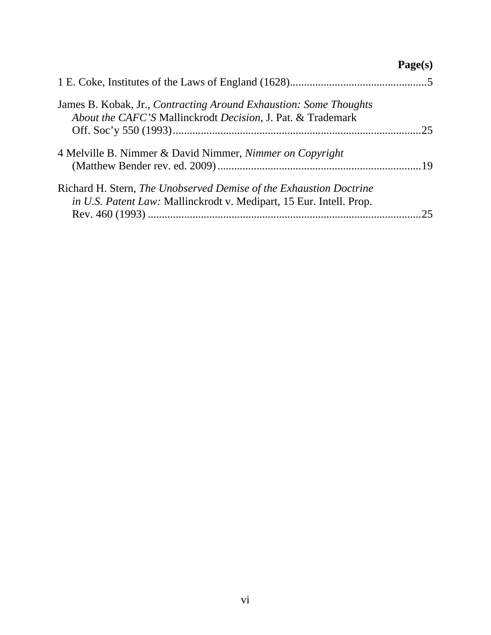# **Page(s)**

| James B. Kobak, Jr., Contracting Around Exhaustion: Some Thoughts<br>About the CAFC'S Mallinckrodt Decision, J. Pat. & Trademark          |  |
|-------------------------------------------------------------------------------------------------------------------------------------------|--|
| 4 Melville B. Nimmer & David Nimmer, Nimmer on Copyright                                                                                  |  |
| Richard H. Stern, The Unobserved Demise of the Exhaustion Doctrine<br>in U.S. Patent Law: Mallinckrodt v. Medipart, 15 Eur. Intell. Prop. |  |
|                                                                                                                                           |  |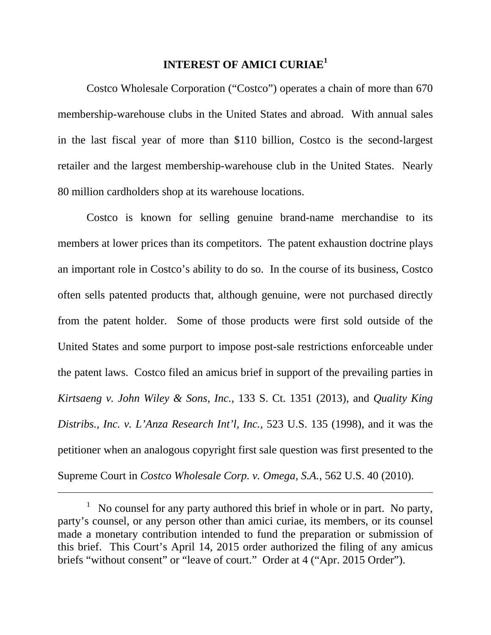# **INTEREST OF AMICI CURIAE<sup>1</sup>**

Costco Wholesale Corporation ("Costco") operates a chain of more than 670 membership-warehouse clubs in the United States and abroad. With annual sales in the last fiscal year of more than \$110 billion, Costco is the second-largest retailer and the largest membership-warehouse club in the United States. Nearly 80 million cardholders shop at its warehouse locations.

Costco is known for selling genuine brand-name merchandise to its members at lower prices than its competitors. The patent exhaustion doctrine plays an important role in Costco's ability to do so. In the course of its business, Costco often sells patented products that, although genuine, were not purchased directly from the patent holder. Some of those products were first sold outside of the United States and some purport to impose post-sale restrictions enforceable under the patent laws. Costco filed an amicus brief in support of the prevailing parties in *Kirtsaeng v. John Wiley & Sons, Inc.*, 133 S. Ct. 1351 (2013), and *Quality King Distribs., Inc. v. L'Anza Research Int'l, Inc.*, 523 U.S. 135 (1998), and it was the petitioner when an analogous copyright first sale question was first presented to the Supreme Court in *Costco Wholesale Corp. v. Omega, S.A.*, 562 U.S. 40 (2010).

 $\overline{a}$ 

 $<sup>1</sup>$  No counsel for any party authored this brief in whole or in part. No party,</sup> party's counsel, or any person other than amici curiae, its members, or its counsel made a monetary contribution intended to fund the preparation or submission of this brief. This Court's April 14, 2015 order authorized the filing of any amicus briefs "without consent" or "leave of court." Order at 4 ("Apr. 2015 Order").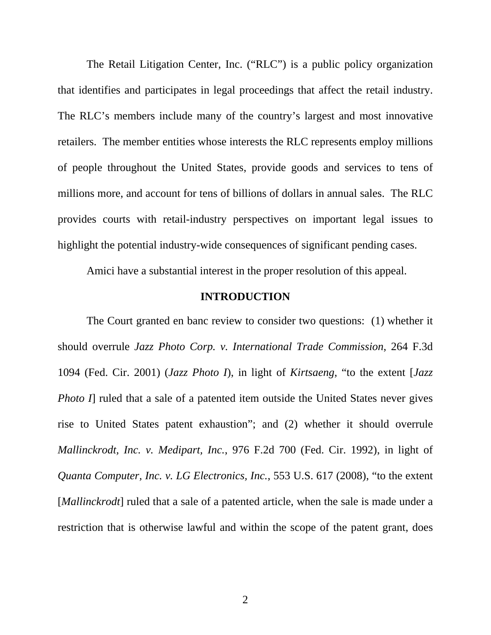The Retail Litigation Center, Inc. ("RLC") is a public policy organization that identifies and participates in legal proceedings that affect the retail industry. The RLC's members include many of the country's largest and most innovative retailers. The member entities whose interests the RLC represents employ millions of people throughout the United States, provide goods and services to tens of millions more, and account for tens of billions of dollars in annual sales. The RLC provides courts with retail-industry perspectives on important legal issues to highlight the potential industry-wide consequences of significant pending cases.

Amici have a substantial interest in the proper resolution of this appeal.

#### **INTRODUCTION**

The Court granted en banc review to consider two questions: (1) whether it should overrule *Jazz Photo Corp. v. International Trade Commission*, 264 F.3d 1094 (Fed. Cir. 2001) (*Jazz Photo I*), in light of *Kirtsaeng*, "to the extent [*Jazz Photo I*] ruled that a sale of a patented item outside the United States never gives rise to United States patent exhaustion"; and (2) whether it should overrule *Mallinckrodt, Inc. v. Medipart, Inc.*, 976 F.2d 700 (Fed. Cir. 1992), in light of *Quanta Computer, Inc. v. LG Electronics, Inc.*, 553 U.S. 617 (2008), "to the extent [*Mallinckrodt*] ruled that a sale of a patented article, when the sale is made under a restriction that is otherwise lawful and within the scope of the patent grant, does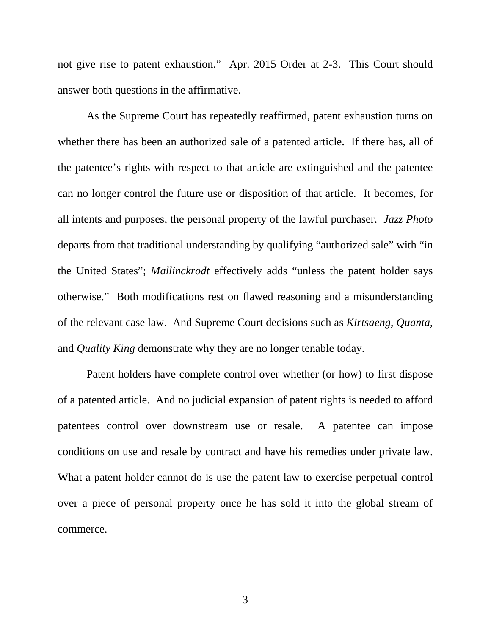not give rise to patent exhaustion." Apr. 2015 Order at 2-3. This Court should answer both questions in the affirmative.

As the Supreme Court has repeatedly reaffirmed, patent exhaustion turns on whether there has been an authorized sale of a patented article. If there has, all of the patentee's rights with respect to that article are extinguished and the patentee can no longer control the future use or disposition of that article. It becomes, for all intents and purposes, the personal property of the lawful purchaser. *Jazz Photo*  departs from that traditional understanding by qualifying "authorized sale" with "in the United States"; *Mallinckrodt* effectively adds "unless the patent holder says otherwise." Both modifications rest on flawed reasoning and a misunderstanding of the relevant case law. And Supreme Court decisions such as *Kirtsaeng*, *Quanta*, and *Quality King* demonstrate why they are no longer tenable today.

Patent holders have complete control over whether (or how) to first dispose of a patented article. And no judicial expansion of patent rights is needed to afford patentees control over downstream use or resale. A patentee can impose conditions on use and resale by contract and have his remedies under private law. What a patent holder cannot do is use the patent law to exercise perpetual control over a piece of personal property once he has sold it into the global stream of commerce.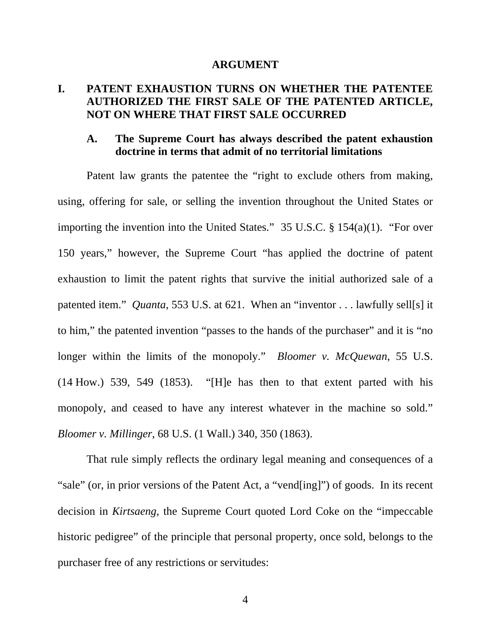#### **ARGUMENT**

# **I. PATENT EXHAUSTION TURNS ON WHETHER THE PATENTEE AUTHORIZED THE FIRST SALE OF THE PATENTED ARTICLE, NOT ON WHERE THAT FIRST SALE OCCURRED**

### **A. The Supreme Court has always described the patent exhaustion doctrine in terms that admit of no territorial limitations**

Patent law grants the patentee the "right to exclude others from making, using, offering for sale, or selling the invention throughout the United States or importing the invention into the United States." 35 U.S.C. § 154(a)(1). "For over 150 years," however, the Supreme Court "has applied the doctrine of patent exhaustion to limit the patent rights that survive the initial authorized sale of a patented item." *Quanta*, 553 U.S. at 621. When an "inventor . . . lawfully sell[s] it to him," the patented invention "passes to the hands of the purchaser" and it is "no longer within the limits of the monopoly." *Bloomer v. McQuewan*, 55 U.S. (14 How.) 539, 549 (1853). "[H]e has then to that extent parted with his monopoly, and ceased to have any interest whatever in the machine so sold." *Bloomer v. Millinger*, 68 U.S. (1 Wall.) 340, 350 (1863).

That rule simply reflects the ordinary legal meaning and consequences of a "sale" (or, in prior versions of the Patent Act, a "vend[ing]") of goods. In its recent decision in *Kirtsaeng*, the Supreme Court quoted Lord Coke on the "impeccable historic pedigree" of the principle that personal property, once sold, belongs to the purchaser free of any restrictions or servitudes: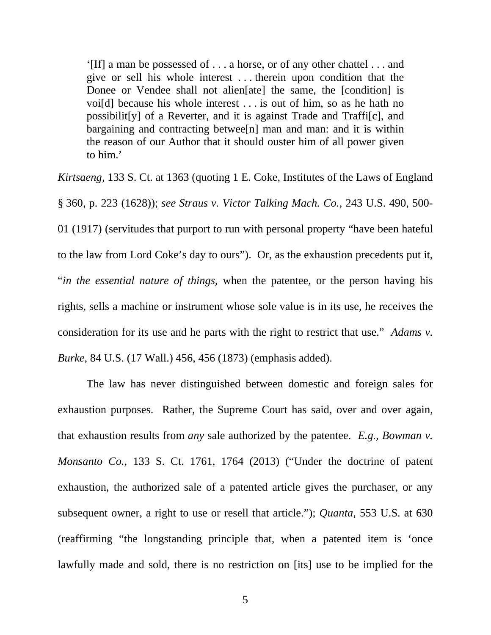'[If] a man be possessed of . . . a horse, or of any other chattel . . . and give or sell his whole interest . . . therein upon condition that the Donee or Vendee shall not alien[ate] the same, the [condition] is voi[d] because his whole interest . . . is out of him, so as he hath no possibilit[y] of a Reverter, and it is against Trade and Traffi[c], and bargaining and contracting betwee[n] man and man: and it is within the reason of our Author that it should ouster him of all power given to him.'

*Kirtsaeng*, 133 S. Ct. at 1363 (quoting 1 E. Coke, Institutes of the Laws of England § 360, p. 223 (1628)); *see Straus v. Victor Talking Mach. Co.*, 243 U.S. 490, 500- 01 (1917) (servitudes that purport to run with personal property "have been hateful to the law from Lord Coke's day to ours"). Or, as the exhaustion precedents put it, "*in the essential nature of things*, when the patentee, or the person having his rights, sells a machine or instrument whose sole value is in its use, he receives the consideration for its use and he parts with the right to restrict that use." *Adams v. Burke*, 84 U.S. (17 Wall.) 456, 456 (1873) (emphasis added).

The law has never distinguished between domestic and foreign sales for exhaustion purposes. Rather, the Supreme Court has said, over and over again, that exhaustion results from *any* sale authorized by the patentee. *E.g.*, *Bowman v. Monsanto Co.*, 133 S. Ct. 1761, 1764 (2013) ("Under the doctrine of patent exhaustion, the authorized sale of a patented article gives the purchaser, or any subsequent owner, a right to use or resell that article."); *Quanta*, 553 U.S. at 630 (reaffirming "the longstanding principle that, when a patented item is 'once lawfully made and sold, there is no restriction on [its] use to be implied for the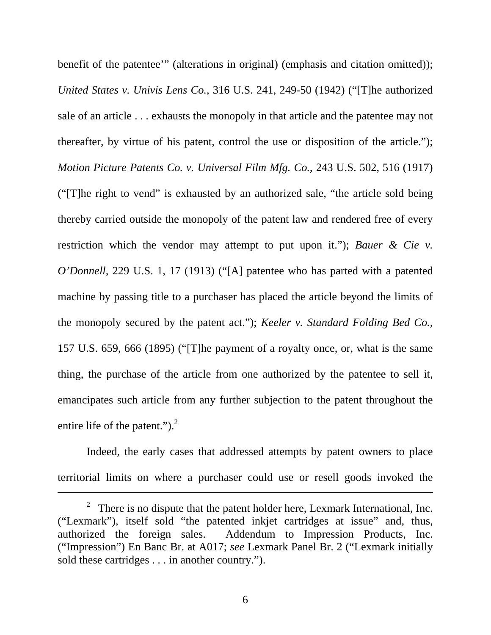benefit of the patentee'" (alterations in original) (emphasis and citation omitted)); *United States v. Univis Lens Co.*, 316 U.S. 241, 249-50 (1942) ("[T]he authorized sale of an article . . . exhausts the monopoly in that article and the patentee may not thereafter, by virtue of his patent, control the use or disposition of the article."); *Motion Picture Patents Co. v. Universal Film Mfg. Co.*, 243 U.S. 502, 516 (1917) ("[T]he right to vend" is exhausted by an authorized sale, "the article sold being thereby carried outside the monopoly of the patent law and rendered free of every restriction which the vendor may attempt to put upon it."); *Bauer & Cie v. O'Donnell*, 229 U.S. 1, 17 (1913) ("[A] patentee who has parted with a patented machine by passing title to a purchaser has placed the article beyond the limits of the monopoly secured by the patent act."); *Keeler v. Standard Folding Bed Co.*, 157 U.S. 659, 666 (1895) ("[T]he payment of a royalty once, or, what is the same thing, the purchase of the article from one authorized by the patentee to sell it, emancipates such article from any further subjection to the patent throughout the entire life of the patent.").<sup>2</sup>

Indeed, the early cases that addressed attempts by patent owners to place territorial limits on where a purchaser could use or resell goods invoked the

 $\overline{a}$ 

6

<sup>&</sup>lt;sup>2</sup> There is no dispute that the patent holder here, Lexmark International, Inc. ("Lexmark"), itself sold "the patented inkjet cartridges at issue" and, thus, authorized the foreign sales. Addendum to Impression Products, Inc. ("Impression") En Banc Br. at A017; *see* Lexmark Panel Br. 2 ("Lexmark initially sold these cartridges . . . in another country.").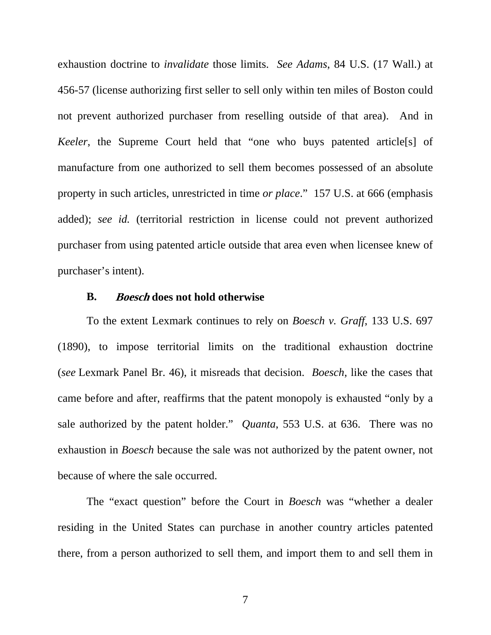exhaustion doctrine to *invalidate* those limits. *See Adams*, 84 U.S. (17 Wall.) at 456-57 (license authorizing first seller to sell only within ten miles of Boston could not prevent authorized purchaser from reselling outside of that area). And in *Keeler*, the Supreme Court held that "one who buys patented article<sup>[s]</sup> of manufacture from one authorized to sell them becomes possessed of an absolute property in such articles, unrestricted in time *or place*." 157 U.S. at 666 (emphasis added); *see id.* (territorial restriction in license could not prevent authorized purchaser from using patented article outside that area even when licensee knew of purchaser's intent).

### **B. Boesch does not hold otherwise**

To the extent Lexmark continues to rely on *Boesch v. Graff*, 133 U.S. 697 (1890), to impose territorial limits on the traditional exhaustion doctrine (*see* Lexmark Panel Br. 46), it misreads that decision. *Boesch*, like the cases that came before and after, reaffirms that the patent monopoly is exhausted "only by a sale authorized by the patent holder." *Quanta*, 553 U.S. at 636. There was no exhaustion in *Boesch* because the sale was not authorized by the patent owner, not because of where the sale occurred.

The "exact question" before the Court in *Boesch* was "whether a dealer residing in the United States can purchase in another country articles patented there, from a person authorized to sell them, and import them to and sell them in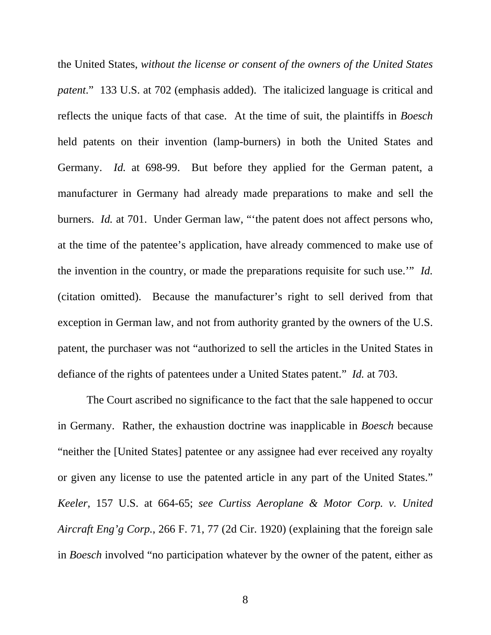the United States, *without the license or consent of the owners of the United States patent*." 133 U.S. at 702 (emphasis added). The italicized language is critical and reflects the unique facts of that case. At the time of suit, the plaintiffs in *Boesch* held patents on their invention (lamp-burners) in both the United States and Germany. *Id.* at 698-99. But before they applied for the German patent, a manufacturer in Germany had already made preparations to make and sell the burners. *Id.* at 701. Under German law, "'the patent does not affect persons who, at the time of the patentee's application, have already commenced to make use of the invention in the country, or made the preparations requisite for such use.'" *Id.* (citation omitted). Because the manufacturer's right to sell derived from that exception in German law, and not from authority granted by the owners of the U.S. patent, the purchaser was not "authorized to sell the articles in the United States in defiance of the rights of patentees under a United States patent." *Id.* at 703.

The Court ascribed no significance to the fact that the sale happened to occur in Germany. Rather, the exhaustion doctrine was inapplicable in *Boesch* because "neither the [United States] patentee or any assignee had ever received any royalty or given any license to use the patented article in any part of the United States." *Keeler*, 157 U.S. at 664-65; *see Curtiss Aeroplane & Motor Corp. v. United Aircraft Eng'g Corp.*, 266 F. 71, 77 (2d Cir. 1920) (explaining that the foreign sale in *Boesch* involved "no participation whatever by the owner of the patent, either as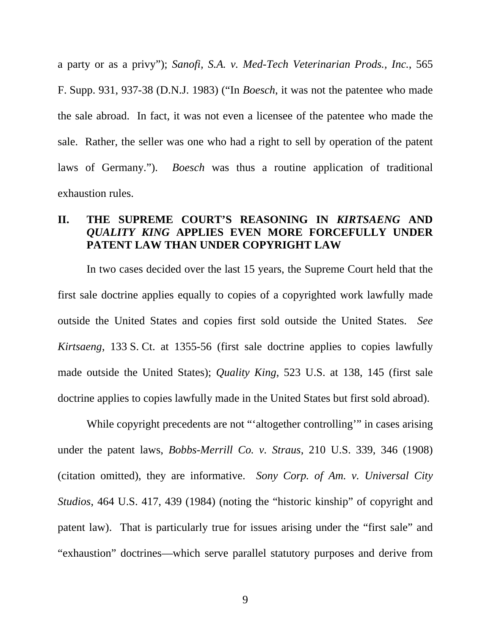a party or as a privy"); *Sanofi, S.A. v. Med-Tech Veterinarian Prods., Inc.*, 565 F. Supp. 931, 937-38 (D.N.J. 1983) ("In *Boesch*, it was not the patentee who made the sale abroad. In fact, it was not even a licensee of the patentee who made the sale. Rather, the seller was one who had a right to sell by operation of the patent laws of Germany."). *Boesch* was thus a routine application of traditional exhaustion rules.

# **II. THE SUPREME COURT'S REASONING IN** *KIRTSAENG* **AND**  *QUALITY KING* **APPLIES EVEN MORE FORCEFULLY UNDER PATENT LAW THAN UNDER COPYRIGHT LAW**

In two cases decided over the last 15 years, the Supreme Court held that the first sale doctrine applies equally to copies of a copyrighted work lawfully made outside the United States and copies first sold outside the United States. *See Kirtsaeng*, 133 S. Ct. at 1355-56 (first sale doctrine applies to copies lawfully made outside the United States); *Quality King*, 523 U.S. at 138, 145 (first sale doctrine applies to copies lawfully made in the United States but first sold abroad).

While copyright precedents are not "'altogether controlling'" in cases arising under the patent laws, *Bobbs-Merrill Co. v. Straus*, 210 U.S. 339, 346 (1908) (citation omitted), they are informative. *Sony Corp. of Am. v. Universal City Studios*, 464 U.S. 417, 439 (1984) (noting the "historic kinship" of copyright and patent law). That is particularly true for issues arising under the "first sale" and "exhaustion" doctrines—which serve parallel statutory purposes and derive from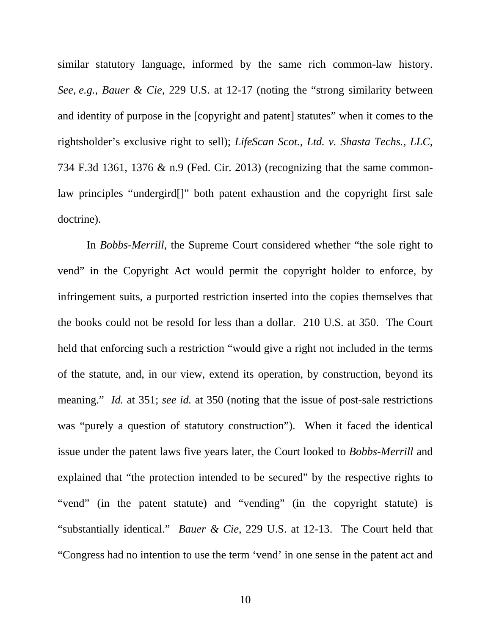similar statutory language, informed by the same rich common-law history. *See, e.g.*, *Bauer & Cie*, 229 U.S. at 12-17 (noting the "strong similarity between and identity of purpose in the [copyright and patent] statutes" when it comes to the rightsholder's exclusive right to sell); *LifeScan Scot., Ltd. v. Shasta Techs., LLC*, 734 F.3d 1361, 1376 & n.9 (Fed. Cir. 2013) (recognizing that the same commonlaw principles "undergird[]" both patent exhaustion and the copyright first sale doctrine).

In *Bobbs-Merrill*, the Supreme Court considered whether "the sole right to vend" in the Copyright Act would permit the copyright holder to enforce, by infringement suits, a purported restriction inserted into the copies themselves that the books could not be resold for less than a dollar. 210 U.S. at 350. The Court held that enforcing such a restriction "would give a right not included in the terms of the statute, and, in our view, extend its operation, by construction, beyond its meaning." *Id.* at 351; *see id.* at 350 (noting that the issue of post-sale restrictions was "purely a question of statutory construction"). When it faced the identical issue under the patent laws five years later, the Court looked to *Bobbs-Merrill* and explained that "the protection intended to be secured" by the respective rights to "vend" (in the patent statute) and "vending" (in the copyright statute) is "substantially identical." *Bauer & Cie*, 229 U.S. at 12-13. The Court held that "Congress had no intention to use the term 'vend' in one sense in the patent act and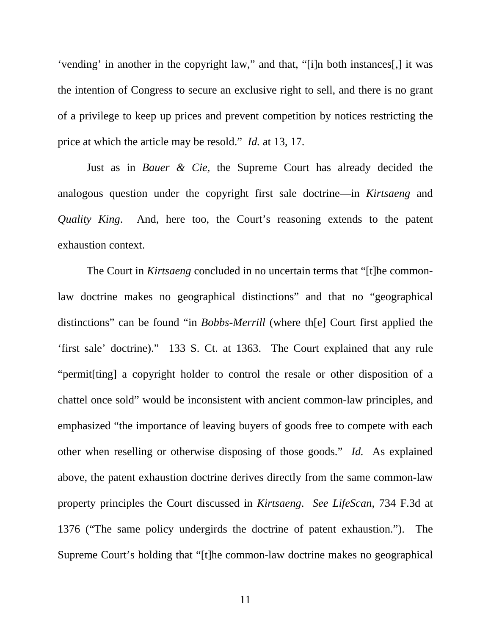'vending' in another in the copyright law," and that, "[i]n both instances[,] it was the intention of Congress to secure an exclusive right to sell, and there is no grant of a privilege to keep up prices and prevent competition by notices restricting the price at which the article may be resold." *Id.* at 13, 17.

Just as in *Bauer & Cie*, the Supreme Court has already decided the analogous question under the copyright first sale doctrine—in *Kirtsaeng* and *Quality King*. And, here too, the Court's reasoning extends to the patent exhaustion context.

The Court in *Kirtsaeng* concluded in no uncertain terms that "[t]he commonlaw doctrine makes no geographical distinctions" and that no "geographical distinctions" can be found "in *Bobbs-Merrill* (where th[e] Court first applied the 'first sale' doctrine)." 133 S. Ct. at 1363. The Court explained that any rule "permit[ting] a copyright holder to control the resale or other disposition of a chattel once sold" would be inconsistent with ancient common-law principles, and emphasized "the importance of leaving buyers of goods free to compete with each other when reselling or otherwise disposing of those goods." *Id.* As explained above, the patent exhaustion doctrine derives directly from the same common-law property principles the Court discussed in *Kirtsaeng*. *See LifeScan*, 734 F.3d at 1376 ("The same policy undergirds the doctrine of patent exhaustion."). The Supreme Court's holding that "[t]he common-law doctrine makes no geographical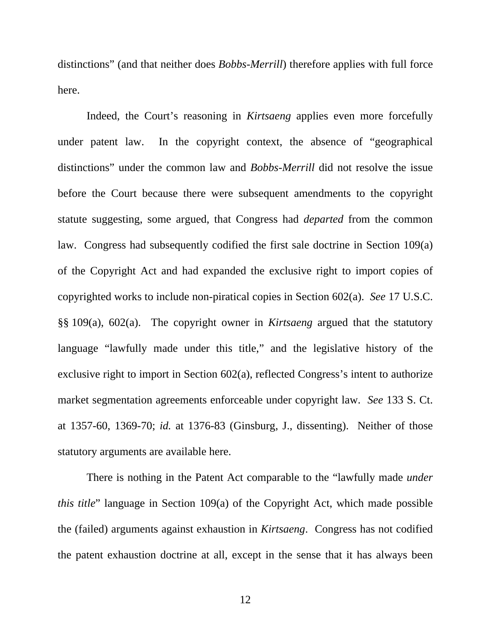distinctions" (and that neither does *Bobbs-Merrill*) therefore applies with full force here.

Indeed, the Court's reasoning in *Kirtsaeng* applies even more forcefully under patent law. In the copyright context, the absence of "geographical distinctions" under the common law and *Bobbs-Merrill* did not resolve the issue before the Court because there were subsequent amendments to the copyright statute suggesting, some argued, that Congress had *departed* from the common law. Congress had subsequently codified the first sale doctrine in Section 109(a) of the Copyright Act and had expanded the exclusive right to import copies of copyrighted works to include non-piratical copies in Section 602(a). *See* 17 U.S.C. §§ 109(a), 602(a). The copyright owner in *Kirtsaeng* argued that the statutory language "lawfully made under this title," and the legislative history of the exclusive right to import in Section 602(a), reflected Congress's intent to authorize market segmentation agreements enforceable under copyright law. *See* 133 S. Ct. at 1357-60, 1369-70; *id.* at 1376-83 (Ginsburg, J., dissenting). Neither of those statutory arguments are available here.

There is nothing in the Patent Act comparable to the "lawfully made *under this title*" language in Section 109(a) of the Copyright Act, which made possible the (failed) arguments against exhaustion in *Kirtsaeng*. Congress has not codified the patent exhaustion doctrine at all, except in the sense that it has always been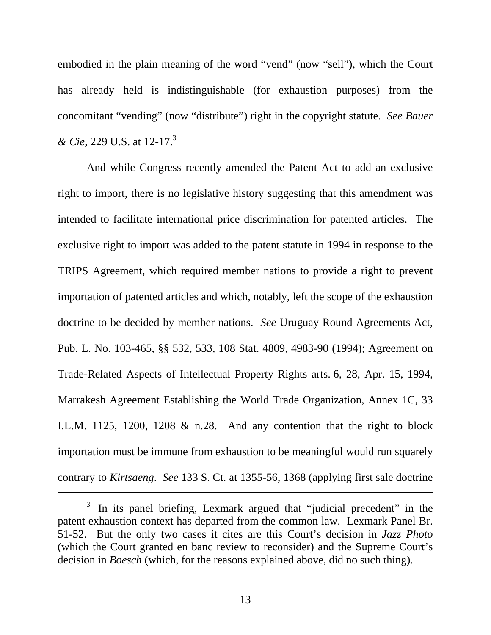embodied in the plain meaning of the word "vend" (now "sell"), which the Court has already held is indistinguishable (for exhaustion purposes) from the concomitant "vending" (now "distribute") right in the copyright statute. *See Bauer & Cie*, 229 U.S. at 12-17.3

And while Congress recently amended the Patent Act to add an exclusive right to import, there is no legislative history suggesting that this amendment was intended to facilitate international price discrimination for patented articles. The exclusive right to import was added to the patent statute in 1994 in response to the TRIPS Agreement, which required member nations to provide a right to prevent importation of patented articles and which, notably, left the scope of the exhaustion doctrine to be decided by member nations. *See* Uruguay Round Agreements Act, Pub. L. No. 103-465, §§ 532, 533, 108 Stat. 4809, 4983-90 (1994); Agreement on Trade-Related Aspects of Intellectual Property Rights arts. 6, 28, Apr. 15, 1994, Marrakesh Agreement Establishing the World Trade Organization, Annex 1C, 33 I.L.M. 1125, 1200, 1208  $&$  n.28. And any contention that the right to block importation must be immune from exhaustion to be meaningful would run squarely contrary to *Kirtsaeng*. *See* 133 S. Ct. at 1355-56, 1368 (applying first sale doctrine

 $\overline{a}$ 

 $3$  In its panel briefing, Lexmark argued that "judicial precedent" in the patent exhaustion context has departed from the common law. Lexmark Panel Br. 51-52. But the only two cases it cites are this Court's decision in *Jazz Photo*  (which the Court granted en banc review to reconsider) and the Supreme Court's decision in *Boesch* (which, for the reasons explained above, did no such thing).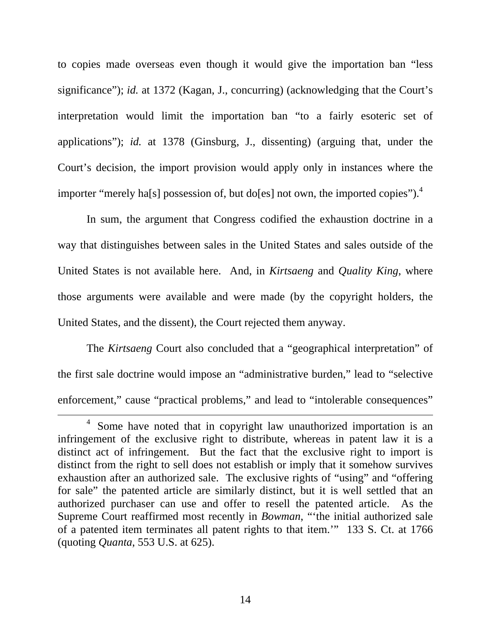to copies made overseas even though it would give the importation ban "less significance"); *id.* at 1372 (Kagan, J., concurring) (acknowledging that the Court's interpretation would limit the importation ban "to a fairly esoteric set of applications"); *id.* at 1378 (Ginsburg, J., dissenting) (arguing that, under the Court's decision, the import provision would apply only in instances where the importer "merely ha[s] possession of, but do[es] not own, the imported copies").<sup>4</sup>

In sum, the argument that Congress codified the exhaustion doctrine in a way that distinguishes between sales in the United States and sales outside of the United States is not available here. And, in *Kirtsaeng* and *Quality King*, where those arguments were available and were made (by the copyright holders, the United States, and the dissent), the Court rejected them anyway.

The *Kirtsaeng* Court also concluded that a "geographical interpretation" of the first sale doctrine would impose an "administrative burden," lead to "selective enforcement," cause "practical problems," and lead to "intolerable consequences"

 $\frac{1}{4}$ <sup>4</sup> Some have noted that in copyright law unauthorized importation is an infringement of the exclusive right to distribute, whereas in patent law it is a distinct act of infringement. But the fact that the exclusive right to import is distinct from the right to sell does not establish or imply that it somehow survives exhaustion after an authorized sale. The exclusive rights of "using" and "offering for sale" the patented article are similarly distinct, but it is well settled that an authorized purchaser can use and offer to resell the patented article. As the Supreme Court reaffirmed most recently in *Bowman*, "'the initial authorized sale of a patented item terminates all patent rights to that item.'" 133 S. Ct. at 1766 (quoting *Quanta*, 553 U.S. at 625).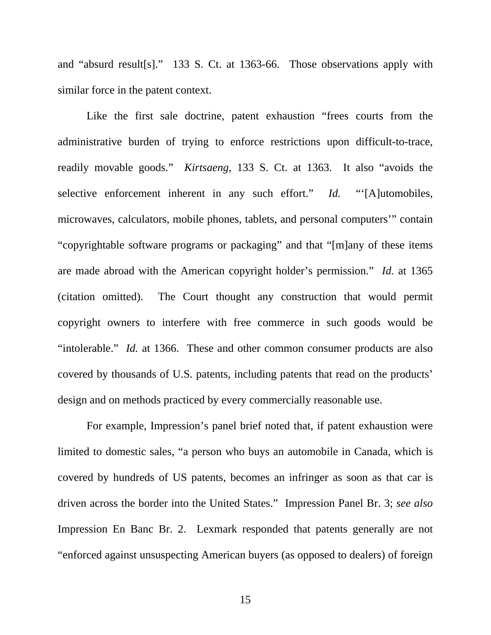and "absurd result[s]." 133 S. Ct. at 1363-66. Those observations apply with similar force in the patent context.

Like the first sale doctrine, patent exhaustion "frees courts from the administrative burden of trying to enforce restrictions upon difficult-to-trace, readily movable goods." *Kirtsaeng*, 133 S. Ct. at 1363. It also "avoids the selective enforcement inherent in any such effort." *Id.* "[A]utomobiles, microwaves, calculators, mobile phones, tablets, and personal computers'" contain "copyrightable software programs or packaging" and that "[m]any of these items are made abroad with the American copyright holder's permission." *Id.* at 1365 (citation omitted). The Court thought any construction that would permit copyright owners to interfere with free commerce in such goods would be "intolerable." *Id.* at 1366. These and other common consumer products are also covered by thousands of U.S. patents, including patents that read on the products' design and on methods practiced by every commercially reasonable use.

For example, Impression's panel brief noted that, if patent exhaustion were limited to domestic sales, "a person who buys an automobile in Canada, which is covered by hundreds of US patents, becomes an infringer as soon as that car is driven across the border into the United States." Impression Panel Br. 3; *see also*  Impression En Banc Br. 2. Lexmark responded that patents generally are not "enforced against unsuspecting American buyers (as opposed to dealers) of foreign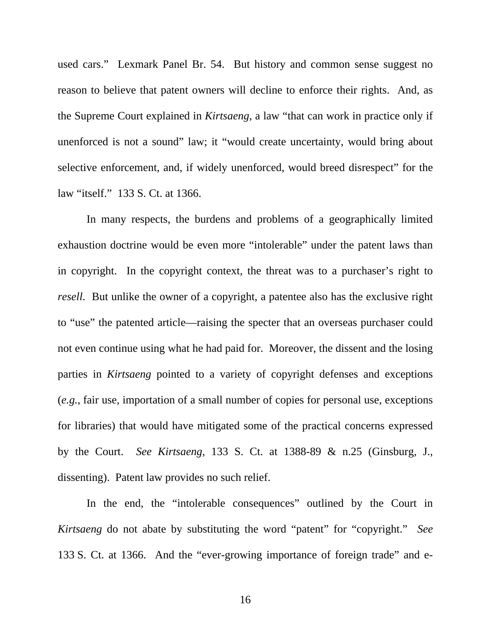used cars." Lexmark Panel Br. 54. But history and common sense suggest no reason to believe that patent owners will decline to enforce their rights. And, as the Supreme Court explained in *Kirtsaeng*, a law "that can work in practice only if unenforced is not a sound" law; it "would create uncertainty, would bring about selective enforcement, and, if widely unenforced, would breed disrespect" for the law "itself." 133 S. Ct. at 1366.

In many respects, the burdens and problems of a geographically limited exhaustion doctrine would be even more "intolerable" under the patent laws than in copyright. In the copyright context, the threat was to a purchaser's right to *resell*. But unlike the owner of a copyright, a patentee also has the exclusive right to "use" the patented article—raising the specter that an overseas purchaser could not even continue using what he had paid for. Moreover, the dissent and the losing parties in *Kirtsaeng* pointed to a variety of copyright defenses and exceptions (*e.g.*, fair use, importation of a small number of copies for personal use, exceptions for libraries) that would have mitigated some of the practical concerns expressed by the Court. *See Kirtsaeng*, 133 S. Ct. at 1388-89 & n.25 (Ginsburg, J., dissenting). Patent law provides no such relief.

In the end, the "intolerable consequences" outlined by the Court in *Kirtsaeng* do not abate by substituting the word "patent" for "copyright." *See* 133 S. Ct. at 1366. And the "ever-growing importance of foreign trade" and e-

16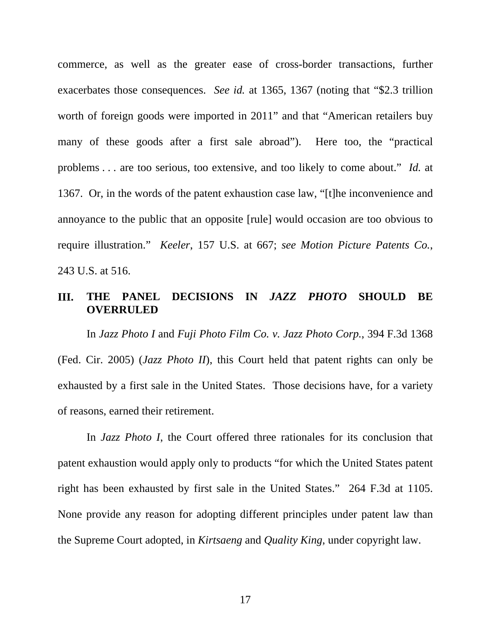commerce, as well as the greater ease of cross-border transactions, further exacerbates those consequences. *See id.* at 1365, 1367 (noting that "\$2.3 trillion worth of foreign goods were imported in 2011" and that "American retailers buy many of these goods after a first sale abroad"). Here too, the "practical problems . . . are too serious, too extensive, and too likely to come about." *Id.* at 1367. Or, in the words of the patent exhaustion case law, "[t]he inconvenience and annoyance to the public that an opposite [rule] would occasion are too obvious to require illustration." *Keeler*, 157 U.S. at 667; *see Motion Picture Patents Co.*, 243 U.S. at 516.

### **III. THE PANEL DECISIONS IN** *JAZZ PHOTO* **SHOULD BE OVERRULED**

In *Jazz Photo I* and *Fuji Photo Film Co. v. Jazz Photo Corp.*, 394 F.3d 1368 (Fed. Cir. 2005) (*Jazz Photo II*), this Court held that patent rights can only be exhausted by a first sale in the United States. Those decisions have, for a variety of reasons, earned their retirement.

In *Jazz Photo I*, the Court offered three rationales for its conclusion that patent exhaustion would apply only to products "for which the United States patent right has been exhausted by first sale in the United States." 264 F.3d at 1105. None provide any reason for adopting different principles under patent law than the Supreme Court adopted, in *Kirtsaeng* and *Quality King*, under copyright law.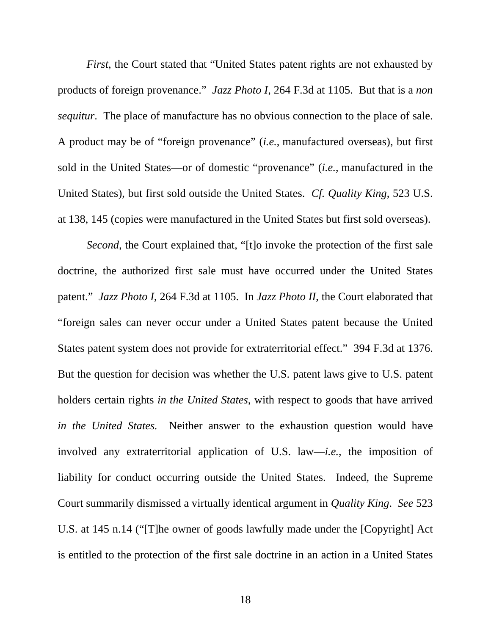*First*, the Court stated that "United States patent rights are not exhausted by products of foreign provenance." *Jazz Photo I*, 264 F.3d at 1105. But that is a *non sequitur*. The place of manufacture has no obvious connection to the place of sale. A product may be of "foreign provenance" (*i.e.*, manufactured overseas), but first sold in the United States—or of domestic "provenance" (*i.e.*, manufactured in the United States), but first sold outside the United States. *Cf. Quality King*, 523 U.S. at 138, 145 (copies were manufactured in the United States but first sold overseas).

*Second*, the Court explained that, "[t]o invoke the protection of the first sale doctrine, the authorized first sale must have occurred under the United States patent." *Jazz Photo I*, 264 F.3d at 1105. In *Jazz Photo II*, the Court elaborated that "foreign sales can never occur under a United States patent because the United States patent system does not provide for extraterritorial effect." 394 F.3d at 1376. But the question for decision was whether the U.S. patent laws give to U.S. patent holders certain rights *in the United States*, with respect to goods that have arrived *in the United States.* Neither answer to the exhaustion question would have involved any extraterritorial application of U.S. law—*i.e.*, the imposition of liability for conduct occurring outside the United States. Indeed, the Supreme Court summarily dismissed a virtually identical argument in *Quality King*. *See* 523 U.S. at 145 n.14 ("[T]he owner of goods lawfully made under the [Copyright] Act is entitled to the protection of the first sale doctrine in an action in a United States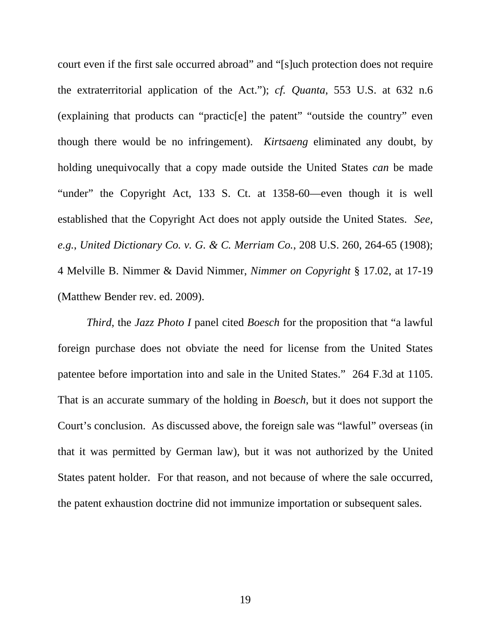court even if the first sale occurred abroad" and "[s]uch protection does not require the extraterritorial application of the Act."); *cf. Quanta*, 553 U.S. at 632 n.6 (explaining that products can "practic[e] the patent" "outside the country" even though there would be no infringement). *Kirtsaeng* eliminated any doubt, by holding unequivocally that a copy made outside the United States *can* be made "under" the Copyright Act, 133 S. Ct. at 1358-60—even though it is well established that the Copyright Act does not apply outside the United States. *See, e.g.*, *United Dictionary Co. v. G. & C. Merriam Co.*, 208 U.S. 260, 264-65 (1908); 4 Melville B. Nimmer & David Nimmer, *Nimmer on Copyright* § 17.02, at 17-19 (Matthew Bender rev. ed. 2009).

*Third*, the *Jazz Photo I* panel cited *Boesch* for the proposition that "a lawful foreign purchase does not obviate the need for license from the United States patentee before importation into and sale in the United States." 264 F.3d at 1105. That is an accurate summary of the holding in *Boesch*, but it does not support the Court's conclusion. As discussed above, the foreign sale was "lawful" overseas (in that it was permitted by German law), but it was not authorized by the United States patent holder. For that reason, and not because of where the sale occurred, the patent exhaustion doctrine did not immunize importation or subsequent sales.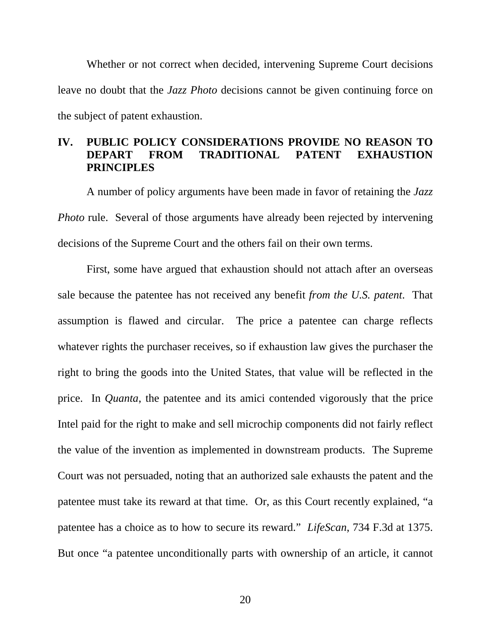Whether or not correct when decided, intervening Supreme Court decisions leave no doubt that the *Jazz Photo* decisions cannot be given continuing force on the subject of patent exhaustion.

# **IV. PUBLIC POLICY CONSIDERATIONS PROVIDE NO REASON TO DEPART FROM TRADITIONAL PATENT EXHAUSTION PRINCIPLES**

A number of policy arguments have been made in favor of retaining the *Jazz Photo* rule. Several of those arguments have already been rejected by intervening decisions of the Supreme Court and the others fail on their own terms.

First, some have argued that exhaustion should not attach after an overseas sale because the patentee has not received any benefit *from the U.S. patent*. That assumption is flawed and circular. The price a patentee can charge reflects whatever rights the purchaser receives, so if exhaustion law gives the purchaser the right to bring the goods into the United States, that value will be reflected in the price. In *Quanta*, the patentee and its amici contended vigorously that the price Intel paid for the right to make and sell microchip components did not fairly reflect the value of the invention as implemented in downstream products. The Supreme Court was not persuaded, noting that an authorized sale exhausts the patent and the patentee must take its reward at that time. Or, as this Court recently explained, "a patentee has a choice as to how to secure its reward." *LifeScan*, 734 F.3d at 1375. But once "a patentee unconditionally parts with ownership of an article, it cannot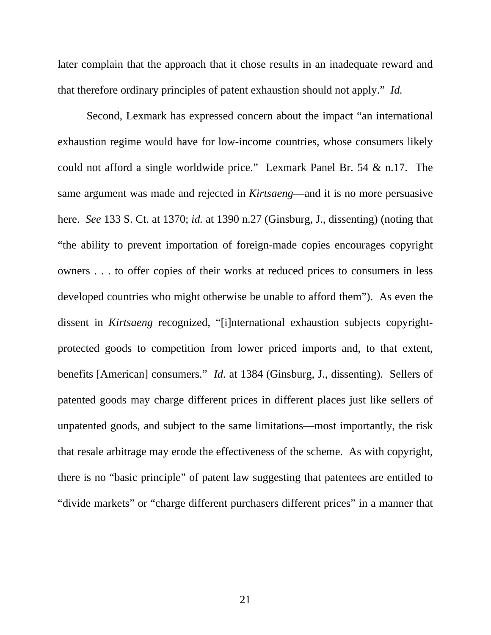later complain that the approach that it chose results in an inadequate reward and that therefore ordinary principles of patent exhaustion should not apply." *Id.* 

Second, Lexmark has expressed concern about the impact "an international exhaustion regime would have for low-income countries, whose consumers likely could not afford a single worldwide price." Lexmark Panel Br. 54 & n.17. The same argument was made and rejected in *Kirtsaeng*—and it is no more persuasive here. *See* 133 S. Ct. at 1370; *id.* at 1390 n.27 (Ginsburg, J., dissenting) (noting that "the ability to prevent importation of foreign-made copies encourages copyright owners . . . to offer copies of their works at reduced prices to consumers in less developed countries who might otherwise be unable to afford them"). As even the dissent in *Kirtsaeng* recognized, "[i]nternational exhaustion subjects copyrightprotected goods to competition from lower priced imports and, to that extent, benefits [American] consumers." *Id.* at 1384 (Ginsburg, J., dissenting). Sellers of patented goods may charge different prices in different places just like sellers of unpatented goods, and subject to the same limitations—most importantly, the risk that resale arbitrage may erode the effectiveness of the scheme. As with copyright, there is no "basic principle" of patent law suggesting that patentees are entitled to "divide markets" or "charge different purchasers different prices" in a manner that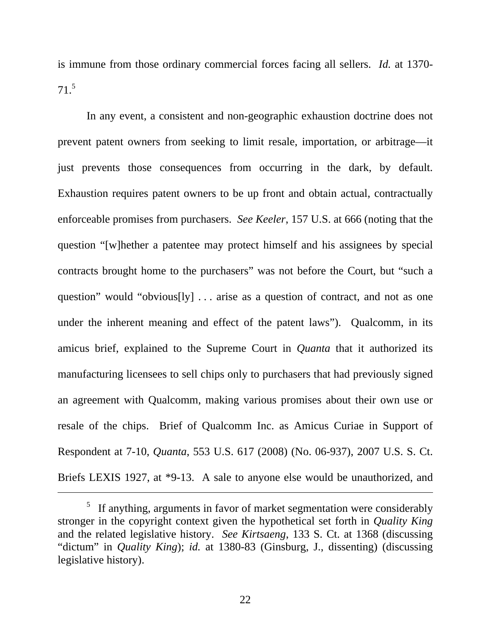is immune from those ordinary commercial forces facing all sellers. *Id.* at 1370- 71.5

In any event, a consistent and non-geographic exhaustion doctrine does not prevent patent owners from seeking to limit resale, importation, or arbitrage—it just prevents those consequences from occurring in the dark, by default. Exhaustion requires patent owners to be up front and obtain actual, contractually enforceable promises from purchasers. *See Keeler*, 157 U.S. at 666 (noting that the question "[w]hether a patentee may protect himself and his assignees by special contracts brought home to the purchasers" was not before the Court, but "such a question" would "obvious[ly] . . . arise as a question of contract, and not as one under the inherent meaning and effect of the patent laws"). Qualcomm, in its amicus brief, explained to the Supreme Court in *Quanta* that it authorized its manufacturing licensees to sell chips only to purchasers that had previously signed an agreement with Qualcomm, making various promises about their own use or resale of the chips. Brief of Qualcomm Inc. as Amicus Curiae in Support of Respondent at 7-10, *Quanta*, 553 U.S. 617 (2008) (No. 06-937), 2007 U.S. S. Ct. Briefs LEXIS 1927, at \*9-13. A sale to anyone else would be unauthorized, and

 $\overline{a}$ 

22

 $5$  If anything, arguments in favor of market segmentation were considerably stronger in the copyright context given the hypothetical set forth in *Quality King*  and the related legislative history. *See Kirtsaeng*, 133 S. Ct. at 1368 (discussing "dictum" in *Quality King*); *id.* at 1380-83 (Ginsburg, J., dissenting) (discussing legislative history).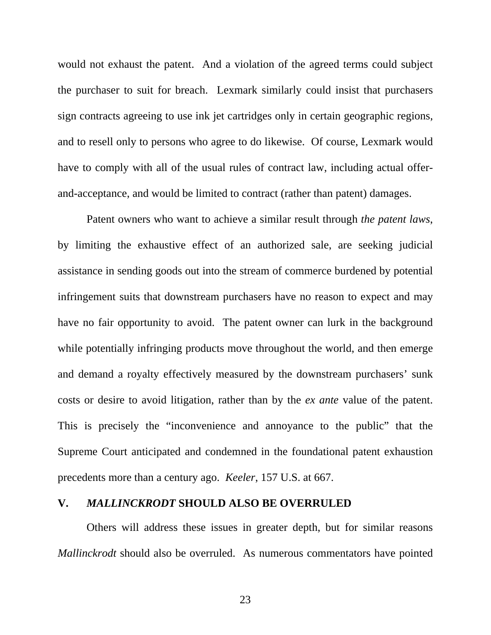would not exhaust the patent. And a violation of the agreed terms could subject the purchaser to suit for breach. Lexmark similarly could insist that purchasers sign contracts agreeing to use ink jet cartridges only in certain geographic regions, and to resell only to persons who agree to do likewise. Of course, Lexmark would have to comply with all of the usual rules of contract law, including actual offerand-acceptance, and would be limited to contract (rather than patent) damages.

Patent owners who want to achieve a similar result through *the patent laws*, by limiting the exhaustive effect of an authorized sale, are seeking judicial assistance in sending goods out into the stream of commerce burdened by potential infringement suits that downstream purchasers have no reason to expect and may have no fair opportunity to avoid. The patent owner can lurk in the background while potentially infringing products move throughout the world, and then emerge and demand a royalty effectively measured by the downstream purchasers' sunk costs or desire to avoid litigation, rather than by the *ex ante* value of the patent. This is precisely the "inconvenience and annoyance to the public" that the Supreme Court anticipated and condemned in the foundational patent exhaustion precedents more than a century ago. *Keeler*, 157 U.S. at 667.

### **V.** *MALLINCKRODT* **SHOULD ALSO BE OVERRULED**

Others will address these issues in greater depth, but for similar reasons *Mallinckrodt* should also be overruled. As numerous commentators have pointed

23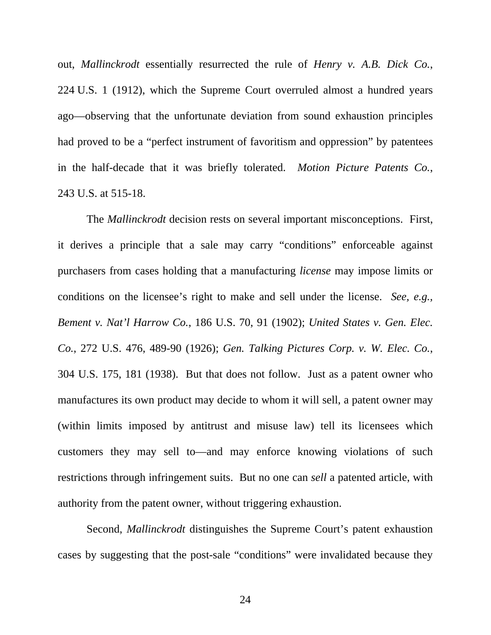out, *Mallinckrodt* essentially resurrected the rule of *Henry v. A.B. Dick Co.*, 224 U.S. 1 (1912), which the Supreme Court overruled almost a hundred years ago—observing that the unfortunate deviation from sound exhaustion principles had proved to be a "perfect instrument of favoritism and oppression" by patentees in the half-decade that it was briefly tolerated. *Motion Picture Patents Co.*, 243 U.S. at 515-18.

The *Mallinckrodt* decision rests on several important misconceptions. First, it derives a principle that a sale may carry "conditions" enforceable against purchasers from cases holding that a manufacturing *license* may impose limits or conditions on the licensee's right to make and sell under the license. *See, e.g., Bement v. Nat'l Harrow Co.*, 186 U.S. 70, 91 (1902); *United States v. Gen. Elec. Co.*, 272 U.S. 476, 489-90 (1926); *Gen. Talking Pictures Corp. v. W. Elec. Co.*, 304 U.S. 175, 181 (1938). But that does not follow. Just as a patent owner who manufactures its own product may decide to whom it will sell, a patent owner may (within limits imposed by antitrust and misuse law) tell its licensees which customers they may sell to—and may enforce knowing violations of such restrictions through infringement suits. But no one can *sell* a patented article, with authority from the patent owner, without triggering exhaustion.

Second, *Mallinckrodt* distinguishes the Supreme Court's patent exhaustion cases by suggesting that the post-sale "conditions" were invalidated because they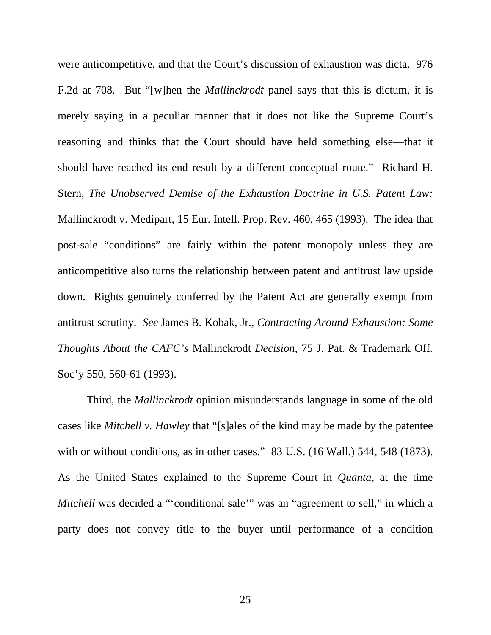were anticompetitive, and that the Court's discussion of exhaustion was dicta. 976 F.2d at 708. But "[w]hen the *Mallinckrodt* panel says that this is dictum, it is merely saying in a peculiar manner that it does not like the Supreme Court's reasoning and thinks that the Court should have held something else—that it should have reached its end result by a different conceptual route." Richard H. Stern, *The Unobserved Demise of the Exhaustion Doctrine in U.S. Patent Law:*  Mallinckrodt v. Medipart, 15 Eur. Intell. Prop. Rev. 460, 465 (1993). The idea that post-sale "conditions" are fairly within the patent monopoly unless they are anticompetitive also turns the relationship between patent and antitrust law upside down. Rights genuinely conferred by the Patent Act are generally exempt from antitrust scrutiny. *See* James B. Kobak, Jr., *Contracting Around Exhaustion: Some Thoughts About the CAFC's* Mallinckrodt *Decision*, 75 J. Pat. & Trademark Off. Soc'y 550, 560-61 (1993).

Third, the *Mallinckrodt* opinion misunderstands language in some of the old cases like *Mitchell v. Hawley* that "[s]ales of the kind may be made by the patentee with or without conditions, as in other cases." 83 U.S. (16 Wall.) 544, 548 (1873). As the United States explained to the Supreme Court in *Quanta*, at the time *Mitchell* was decided a "'conditional sale'" was an "agreement to sell," in which a party does not convey title to the buyer until performance of a condition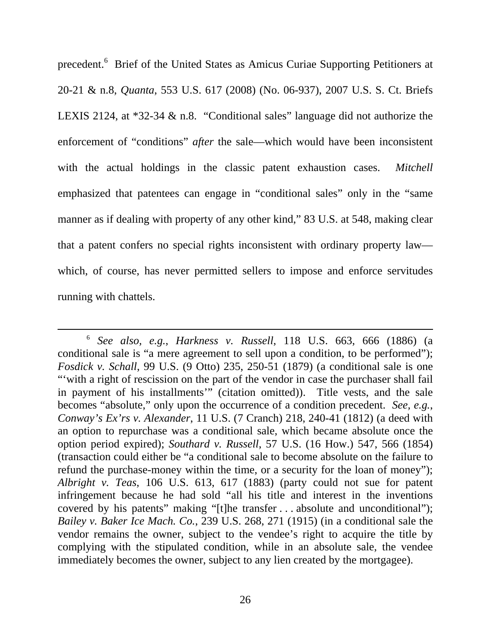precedent.<sup>6</sup> Brief of the United States as Amicus Curiae Supporting Petitioners at 20-21 & n.8, *Quanta*, 553 U.S. 617 (2008) (No. 06-937), 2007 U.S. S. Ct. Briefs LEXIS 2124, at \*32-34 & n.8. "Conditional sales" language did not authorize the enforcement of "conditions" *after* the sale—which would have been inconsistent with the actual holdings in the classic patent exhaustion cases. *Mitchell* emphasized that patentees can engage in "conditional sales" only in the "same manner as if dealing with property of any other kind," 83 U.S. at 548, making clear that a patent confers no special rights inconsistent with ordinary property law which, of course, has never permitted sellers to impose and enforce servitudes running with chattels.

 <sup>6</sup> *See also, e.g.*, *Harkness v. Russell*, 118 U.S. 663, 666 (1886) (a conditional sale is "a mere agreement to sell upon a condition, to be performed"); *Fosdick v. Schall*, 99 U.S. (9 Otto) 235, 250-51 (1879) (a conditional sale is one "'with a right of rescission on the part of the vendor in case the purchaser shall fail in payment of his installments'" (citation omitted)). Title vests, and the sale becomes "absolute," only upon the occurrence of a condition precedent. *See, e.g.*, *Conway's Ex'rs v. Alexander*, 11 U.S. (7 Cranch) 218, 240-41 (1812) (a deed with an option to repurchase was a conditional sale, which became absolute once the option period expired); *Southard v. Russell*, 57 U.S. (16 How.) 547, 566 (1854) (transaction could either be "a conditional sale to become absolute on the failure to refund the purchase-money within the time, or a security for the loan of money"); *Albright v. Teas*, 106 U.S. 613, 617 (1883) (party could not sue for patent infringement because he had sold "all his title and interest in the inventions covered by his patents" making "[t]he transfer . . . absolute and unconditional"); *Bailey v. Baker Ice Mach. Co.*, 239 U.S. 268, 271 (1915) (in a conditional sale the vendor remains the owner, subject to the vendee's right to acquire the title by complying with the stipulated condition, while in an absolute sale, the vendee immediately becomes the owner, subject to any lien created by the mortgagee).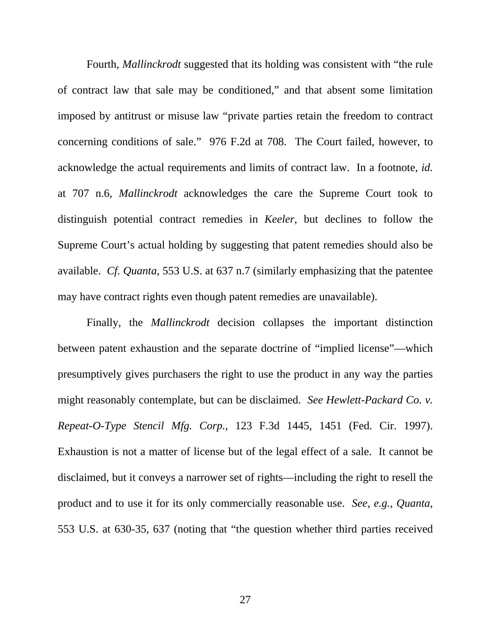Fourth, *Mallinckrodt* suggested that its holding was consistent with "the rule of contract law that sale may be conditioned," and that absent some limitation imposed by antitrust or misuse law "private parties retain the freedom to contract concerning conditions of sale." 976 F.2d at 708. The Court failed, however, to acknowledge the actual requirements and limits of contract law. In a footnote, *id.* at 707 n.6, *Mallinckrodt* acknowledges the care the Supreme Court took to distinguish potential contract remedies in *Keeler*, but declines to follow the Supreme Court's actual holding by suggesting that patent remedies should also be available. *Cf. Quanta*, 553 U.S. at 637 n.7 (similarly emphasizing that the patentee may have contract rights even though patent remedies are unavailable).

Finally, the *Mallinckrodt* decision collapses the important distinction between patent exhaustion and the separate doctrine of "implied license"—which presumptively gives purchasers the right to use the product in any way the parties might reasonably contemplate, but can be disclaimed. *See Hewlett-Packard Co. v. Repeat-O-Type Stencil Mfg. Corp.*, 123 F.3d 1445, 1451 (Fed. Cir. 1997). Exhaustion is not a matter of license but of the legal effect of a sale. It cannot be disclaimed, but it conveys a narrower set of rights—including the right to resell the product and to use it for its only commercially reasonable use. *See, e.g., Quanta*, 553 U.S. at 630-35, 637 (noting that "the question whether third parties received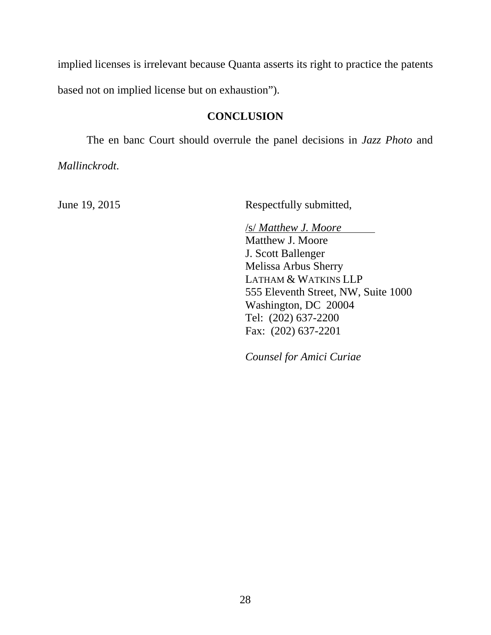implied licenses is irrelevant because Quanta asserts its right to practice the patents based not on implied license but on exhaustion").

# **CONCLUSION**

The en banc Court should overrule the panel decisions in *Jazz Photo* and

*Mallinckrodt*.

June 19, 2015 Respectfully submitted,

/s/ *Matthew J. Moore*  Matthew J. Moore J. Scott Ballenger Melissa Arbus Sherry LATHAM & WATKINS LLP 555 Eleventh Street, NW, Suite 1000 Washington, DC 20004 Tel: (202) 637-2200 Fax: (202) 637-2201

*Counsel for Amici Curiae*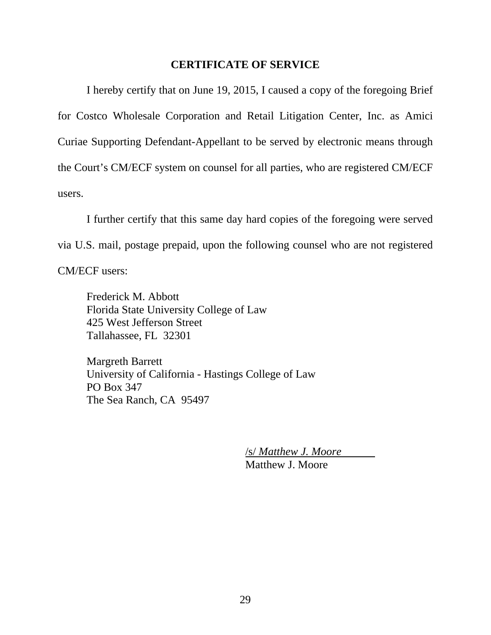### **CERTIFICATE OF SERVICE**

I hereby certify that on June 19, 2015, I caused a copy of the foregoing Brief for Costco Wholesale Corporation and Retail Litigation Center, Inc. as Amici Curiae Supporting Defendant-Appellant to be served by electronic means through the Court's CM/ECF system on counsel for all parties, who are registered CM/ECF users.

I further certify that this same day hard copies of the foregoing were served via U.S. mail, postage prepaid, upon the following counsel who are not registered CM/ECF users:

Frederick M. Abbott Florida State University College of Law 425 West Jefferson Street Tallahassee, FL 32301

Margreth Barrett University of California - Hastings College of Law PO Box 347 The Sea Ranch, CA 95497

> /s/ *Matthew J. Moore*  Matthew J. Moore